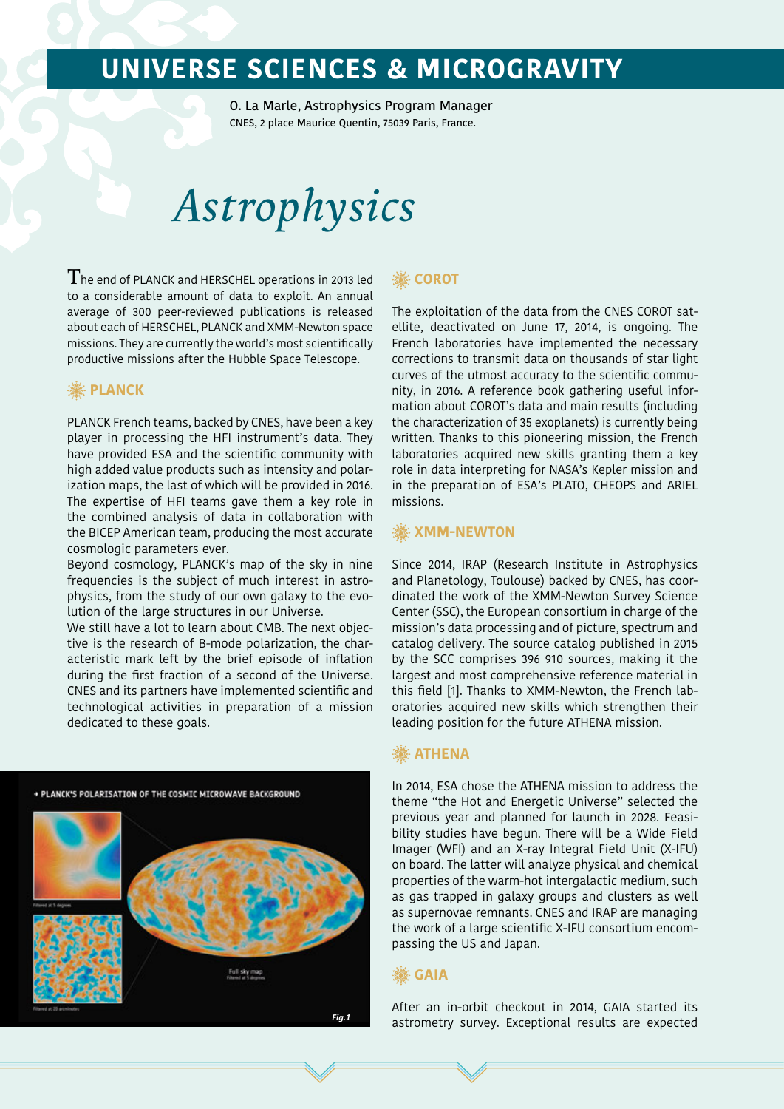O. La Marle, Astrophysics Program Manager CNES, 2 place Maurice Quentin, 75039 Paris, France.

# *Astrophysics*

 $\rm T$ he end of PLANCK and HERSCHEL operations in 2013 led to a considerable amount of data to exploit. An annual average of 300 peer-reviewed publications is released about each of HERSCHEL, PLANCK and XMM-Newton space missions. They are currently the world's most scientifically productive missions after the Hubble Space Telescope.

### **PLANCK**

PLANCK French teams, backed by CNES, have been a key player in processing the HFI instrument's data. They have provided ESA and the scientific community with high added value products such as intensity and polarization maps, the last of which will be provided in 2016. The expertise of HFI teams gave them a key role in the combined analysis of data in collaboration with the BICEP American team, producing the most accurate cosmologic parameters ever.

Beyond cosmology, PLANCK's map of the sky in nine frequencies is the subject of much interest in astrophysics, from the study of our own galaxy to the evolution of the large structures in our Universe.

We still have a lot to learn about CMB. The next objective is the research of B-mode polarization, the characteristic mark left by the brief episode of inflation during the first fraction of a second of the Universe. CNES and its partners have implemented scientific and technological activities in preparation of a mission dedicated to these goals.

+ PLANCK'S POLARISATION OF THE COSMIC MICROWAVE BACKGROUND



### **▒COROT**

The exploitation of the data from the CNES COROT satellite, deactivated on June 17, 2014, is ongoing. The French laboratories have implemented the necessary corrections to transmit data on thousands of star light curves of the utmost accuracy to the scientific community, in 2016. A reference book gathering useful information about COROT's data and main results (including the characterization of 35 exoplanets) is currently being written. Thanks to this pioneering mission, the French laboratories acquired new skills granting them a key role in data interpreting for NASA's Kepler mission and in the preparation of ESA's PLATO, CHEOPS and ARIEL missions.

### **▒ XMM-NEWTON**

Since 2014, IRAP (Research Institute in Astrophysics and Planetology, Toulouse) backed by CNES, has coordinated the work of the XMM-Newton Survey Science Center (SSC), the European consortium in charge of the mission's data processing and of picture, spectrum and catalog delivery. The source catalog published in 2015 by the SCC comprises 396 910 sources, making it the largest and most comprehensive reference material in this field [1]. Thanks to XMM-Newton, the French laboratories acquired new skills which strengthen their leading position for the future ATHENA mission.

### **※ ATHENA**

In 2014, ESA chose the ATHENA mission to address the theme "the Hot and Energetic Universe" selected the previous year and planned for launch in 2028. Feasibility studies have begun. There will be a Wide Field Imager (WFI) and an X-ray Integral Field Unit (X-IFU) on board. The latter will analyze physical and chemical properties of the warm-hot intergalactic medium, such as gas trapped in galaxy groups and clusters as well as supernovae remnants. CNES and IRAP are managing the work of a large scientific X-IFU consortium encompassing the US and Japan.

### **GAIA**

After an in-orbit checkout in 2014, GAIA started its astrometry survey. Exceptional results are expected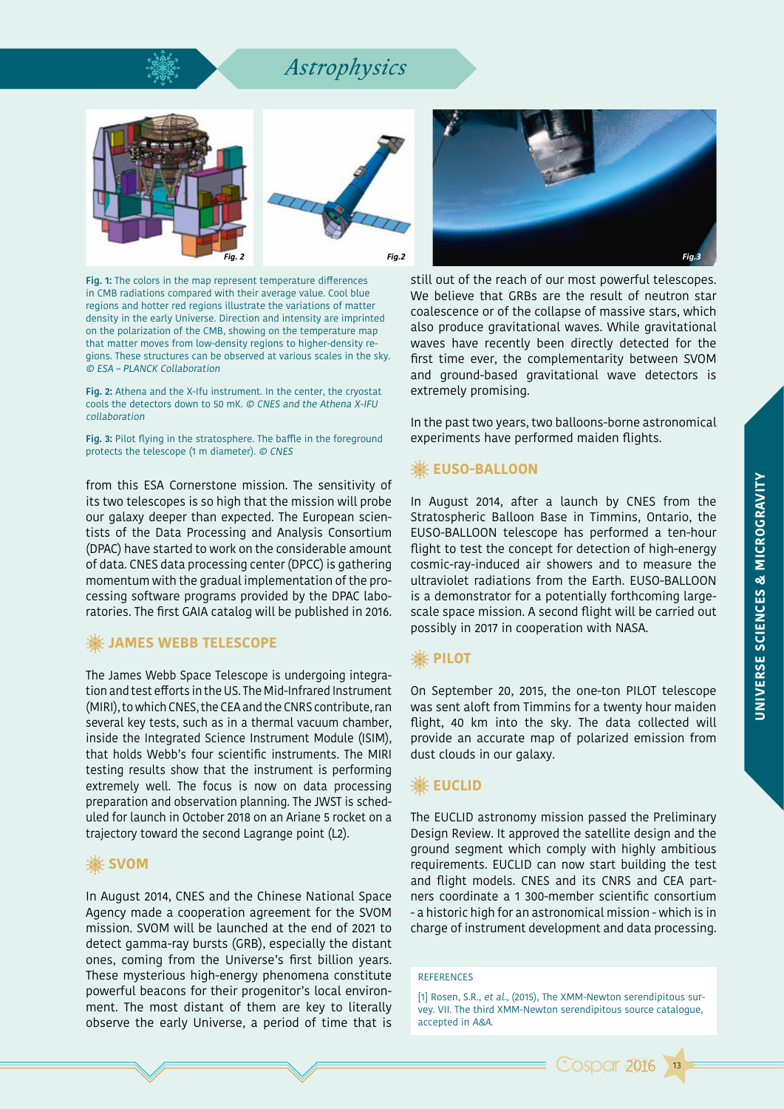### *Astrophysics*





**Fig. 1:** The colors in the map represent temperature differences in CMB radiations compared with their average value. Cool blue regions and hotter red regions illustrate the variations of matter density in the early Universe. Direction and intensity are imprinted on the polarization of the CMB, showing on the temperature map that matter moves from low-density regions to higher-density regions. These structures can be observed at various scales in the sky. © ESA – PLANCK Collaboration

**Fig. 2:** Athena and the X-Ifu instrument. In the center, the cryostat cools the detectors down to 50 mK. © CNES and the Athena X-IFU collaboration

**Fig. 3:** Pilot flying in the stratosphere. The baffle in the foreground protects the telescope (1 m diameter). © CNES

from this ESA Cornerstone mission. The sensitivity of its two telescopes is so high that the mission will probe our galaxy deeper than expected. The European scientists of the Data Processing and Analysis Consortium (DPAC) have started to work on the considerable amount of data. CNES data processing center (DPCC) is gathering momentum with the gradual implementation of the processing software programs provided by the DPAC laboratories. The first GAIA catalog will be published in 2016.

### **. WEBB TELESCOPE**

The James Webb Space Telescope is undergoing integration and test efforts in the US. The Mid-Infrared Instrument (MIRI), to which CNES, the CEA and the CNRS contribute, ran several key tests, such as in a thermal vacuum chamber, inside the Integrated Science Instrument Module (ISIM), that holds Webb's four scientific instruments. The MIRI testing results show that the instrument is performing extremely well. The focus is now on data processing preparation and observation planning. The JWST is scheduled for launch in October 2018 on an Ariane 5 rocket on a trajectory toward the second Lagrange point (L2).

### **▒ SVOM**

In August 2014, CNES and the Chinese National Space Agency made a cooperation agreement for the SVOM mission. SVOM will be launched at the end of 2021 to detect gamma-ray bursts (GRB), especially the distant ones, coming from the Universe's first billion years. These mysterious high-energy phenomena constitute powerful beacons for their progenitor's local environment. The most distant of them are key to literally observe the early Universe, a period of time that is



still out of the reach of our most powerful telescopes. We believe that GRBs are the result of neutron star coalescence or of the collapse of massive stars, which also produce gravitational waves. While gravitational waves have recently been directly detected for the first time ever, the complementarity between SVOM and ground-based gravitational wave detectors is extremely promising.

In the past two years, two balloons-borne astronomical experiments have performed maiden flights.

### **EUSO-BALLOON**

In August 2014, after a launch by CNES from the Stratospheric Balloon Base in Timmins, Ontario, the EUSO-BALLOON telescope has performed a ten-hour flight to test the concept for detection of high-energy cosmic-ray-induced air showers and to measure the ultraviolet radiations from the Earth. EUSO-BALLOON is a demonstrator for a potentially forthcoming largescale space mission. A second flight will be carried out possibly in 2017 in cooperation with NASA.

### **, ※ PILOT**

On September 20, 2015, the one-ton PILOT telescope was sent aloft from Timmins for a twenty hour maiden flight, 40 km into the sky. The data collected will provide an accurate map of polarized emission from dust clouds in our galaxy.

### **▒EUCLID**

The EUCLID astronomy mission passed the Preliminary Design Review. It approved the satellite design and the ground segment which comply with highly ambitious requirements. EUCLID can now start building the test and flight models. CNES and its CNRS and CEA partners coordinate a 1 300-member scientific consortium - a historic high for an astronomical mission - which is in charge of instrument development and data processing.

#### **REFERENCES**

[1] Rosen, S.R., et al., (2015), The XMM-Newton serendipitous survey. VII. The third XMM-Newton serendipitous source catalogue, accepted in A&A.



13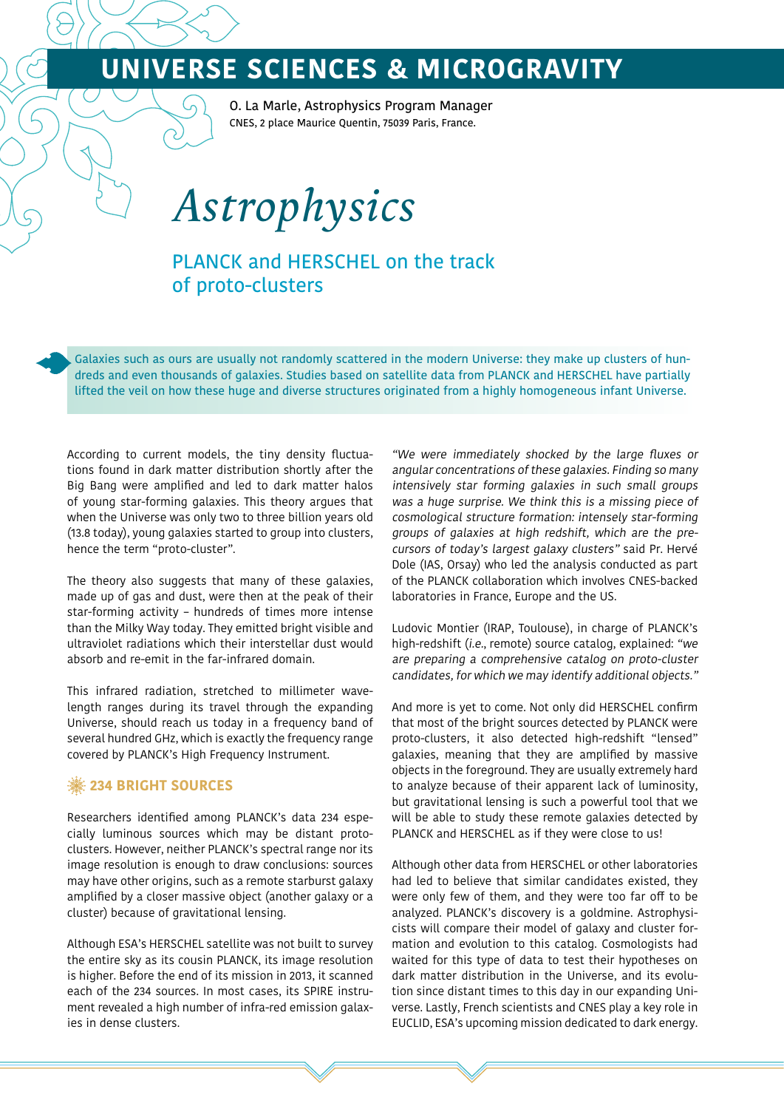O. La Marle, Astrophysics Program Manager CNES, 2 place Maurice Quentin, 75039 Paris, France.

*Astrophysics*

PLANCK and HERSCHEL on the track of proto-clusters

Galaxies such as ours are usually not randomly scattered in the modern Universe: they make up clusters of hundreds and even thousands of galaxies. Studies based on satellite data from PLANCK and HERSCHEL have partially lifted the veil on how these huge and diverse structures originated from a highly homogeneous infant Universe.

According to current models, the tiny density fluctuations found in dark matter distribution shortly after the Big Bang were amplified and led to dark matter halos of young star-forming galaxies. This theory argues that when the Universe was only two to three billion years old (13.8 today), young galaxies started to group into clusters, hence the term "proto-cluster".

The theory also suggests that many of these galaxies, made up of gas and dust, were then at the peak of their star-forming activity – hundreds of times more intense than the Milky Way today. They emitted bright visible and ultraviolet radiations which their interstellar dust would absorb and re-emit in the far-infrared domain.

This infrared radiation, stretched to millimeter wavelength ranges during its travel through the expanding Universe, should reach us today in a frequency band of several hundred GHz, which is exactly the frequency range covered by PLANCK's High Frequency Instrument.

### **※234 BRIGHT SOURCES**

Researchers identified among PLANCK's data 234 especially luminous sources which may be distant protoclusters. However, neither PLANCK's spectral range nor its image resolution is enough to draw conclusions: sources may have other origins, such as a remote starburst galaxy amplified by a closer massive object (another galaxy or a cluster) because of gravitational lensing.

Although ESA's HERSCHEL satellite was not built to survey the entire sky as its cousin PLANCK, its image resolution is higher. Before the end of its mission in 2013, it scanned each of the 234 sources. In most cases, its SPIRE instrument revealed a high number of infra-red emission galaxies in dense clusters.

"We were immediately shocked by the large fluxes or angular concentrations of these galaxies. Finding so many intensively star forming galaxies in such small groups was a huge surprise. We think this is a missing piece of cosmological structure formation: intensely star-forming groups of galaxies at high redshift, which are the precursors of today's largest galaxy clusters" said Pr. Hervé Dole (IAS, Orsay) who led the analysis conducted as part of the PLANCK collaboration which involves CNES-backed laboratories in France, Europe and the US.

Ludovic Montier (IRAP, Toulouse), in charge of PLANCK's high-redshift (i.e., remote) source catalog, explained: "we are preparing a comprehensive catalog on proto-cluster candidates, for which we may identify additional objects."

And more is yet to come. Not only did HERSCHEL confirm that most of the bright sources detected by PLANCK were proto-clusters, it also detected high-redshift "lensed" galaxies, meaning that they are amplified by massive objects in the foreground. They are usually extremely hard to analyze because of their apparent lack of luminosity, but gravitational lensing is such a powerful tool that we will be able to study these remote galaxies detected by PLANCK and HERSCHEL as if they were close to us!

Although other data from HERSCHEL or other laboratories had led to believe that similar candidates existed, they were only few of them, and they were too far off to be analyzed. PLANCK's discovery is a goldmine. Astrophysicists will compare their model of galaxy and cluster formation and evolution to this catalog. Cosmologists had waited for this type of data to test their hypotheses on dark matter distribution in the Universe, and its evolution since distant times to this day in our expanding Universe. Lastly, French scientists and CNES play a key role in EUCLID, ESA's upcoming mission dedicated to dark energy.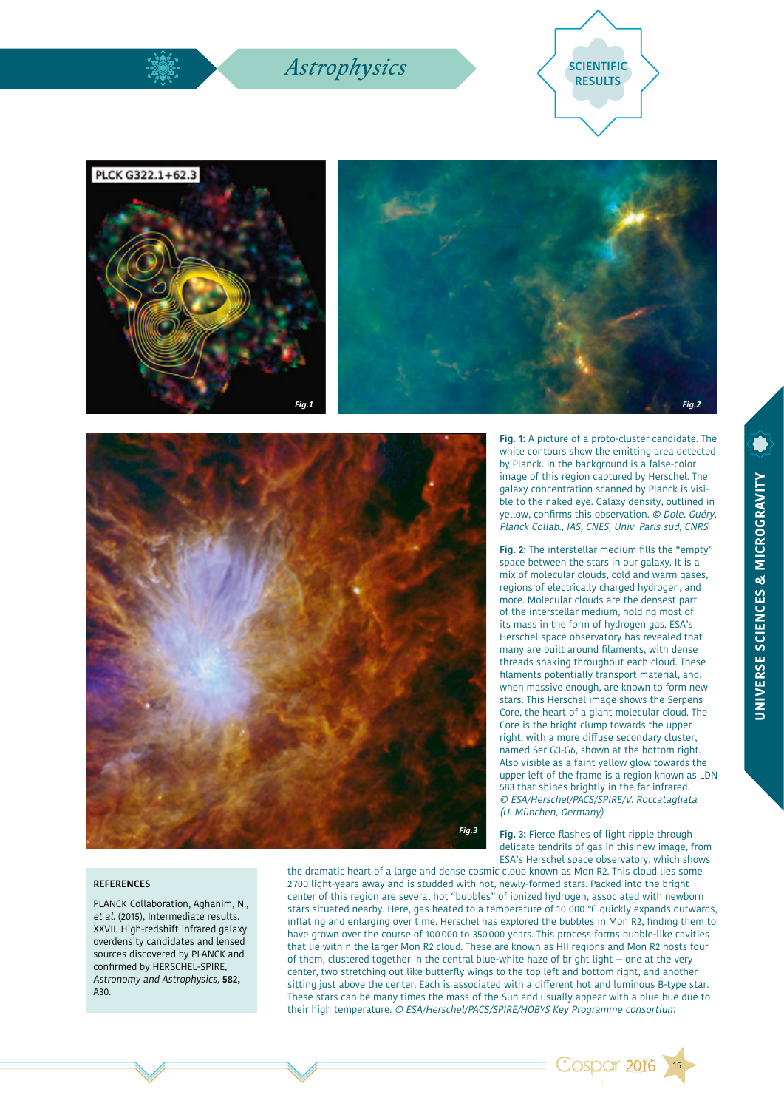### *Astrophysics* SCIENTIFIC









#### **REFERENCES**

PLANCK Collaboration, Aghanim, N., et al. (2015), Intermediate results. XXVII. High-redshift infrared galaxy overdensity candidates and lensed sources discovered by PLANCK and confirmed by HERSCHEL-SPIRE, Astronomy and Astrophysics, **582,** A30

the dramatic heart of a large and dense cosmic cloud known as Mon R2. This cloud lies some 2 700 light-years away and is studded with hot, newly-formed stars. Packed into the bright center of this region are several hot "bubbles" of ionized hydrogen, associated with newborn stars situated nearby. Here, gas heated to a temperature of 10 000 °C quickly expands outwards, inflating and enlarging over time. Herschel has explored the bubbles in Mon R2, finding them to have grown over the course of 100000 to 350000 years. This process forms bubble-like cavities that lie within the larger Mon R2 cloud. These are known as HII regions and Mon R2 hosts four of them, clustered together in the central blue-white haze of bright light — one at the very center, two stretching out like butterfly wings to the top left and bottom right, and another sitting just above the center. Each is associated with a different hot and luminous B-type star. These stars can be many times the mass of the Sun and usually appear with a blue hue due to their high temperature. © ESA/Herschel/PACS/SPIRE/HOBYS Key Programme consortium

**Fig. 1:** A picture of a proto-cluster candidate. The white contours show the emitting area detected by Planck. In the background is a false-color image of this region captured by Herschel. The galaxy concentration scanned by Planck is visible to the naked eye. Galaxy density, outlined in yellow, confirms this observation. © Dole, Guéry, Planck Collab., IAS, CNES, Univ. Paris sud, CNRS

**Fig. 2:** The interstellar medium fills the "empty" space between the stars in our galaxy. It is a mix of molecular clouds, cold and warm gases, regions of electrically charged hydrogen, and more. Molecular clouds are the densest part of the interstellar medium, holding most of its mass in the form of hydrogen gas. ESA's Herschel space observatory has revealed that many are built around filaments, with dense threads snaking throughout each cloud. These filaments potentially transport material, and, when massive enough, are known to form new stars. This Herschel image shows the Serpens Core, the heart of a giant molecular cloud. The Core is the bright clump towards the upper right, with a more diffuse secondary cluster, named Ser G3-G6, shown at the bottom right. Also visible as a faint yellow glow towards the upper left of the frame is a region known as LDN 583 that shines brightly in the far infrared. © ESA/Herschel/PACS/SPIRE/V. Roccatagliata (U. München, Germany)

**Fig. 3:** Fierce flashes of light ripple through delicate tendrils of gas in this new image, from ESA's Herschel space observatory, which shows

**Cospar 2016** 

15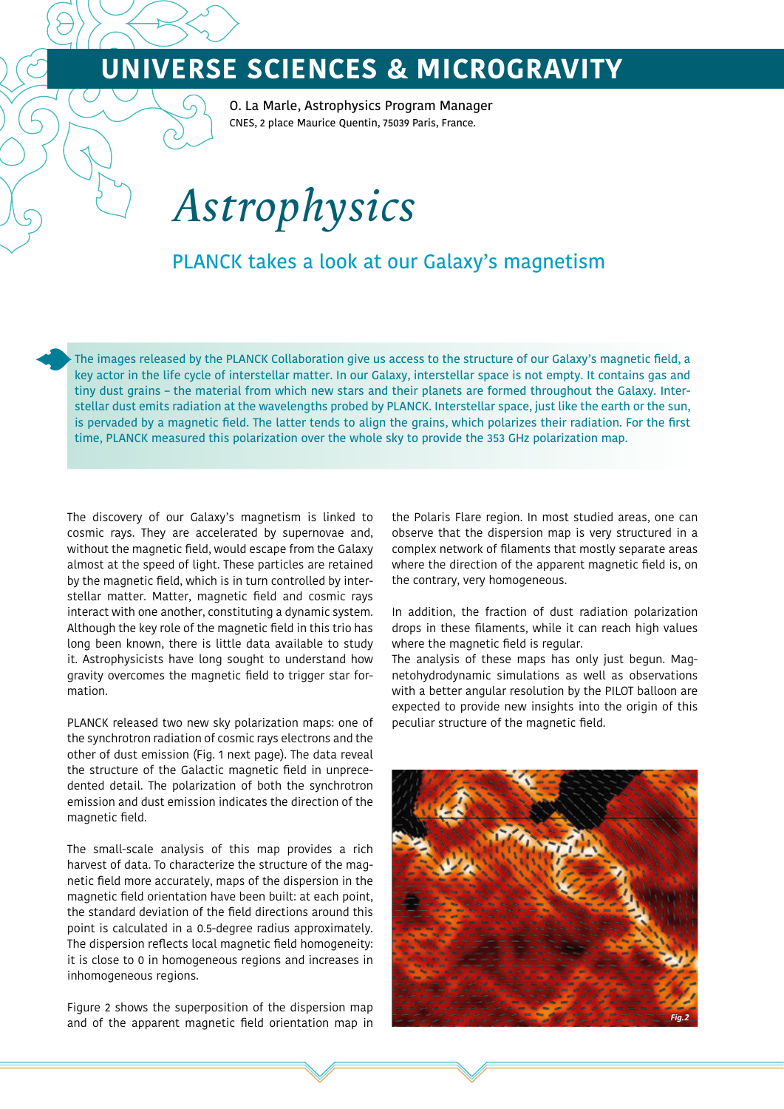O. La Marle, Astrophysics Program Manager CNES, 2 place Maurice Quentin, 75039 Paris, France.

# *Astrophysics*

### PLANCK takes a look at our Galaxy's magnetism

The images released by the PLANCK Collaboration give us access to the structure of our Galaxy's magnetic field, a key actor in the life cycle of interstellar matter. In our Galaxy, interstellar space is not empty. It contains gas and tiny dust grains – the material from which new stars and their planets are formed throughout the Galaxy. Interstellar dust emits radiation at the wavelengths probed by PLANCK. Interstellar space, just like the earth or the sun, is pervaded by a magnetic field. The latter tends to align the grains, which polarizes their radiation. For the first time, PLANCK measured this polarization over the whole sky to provide the 353 GHz polarization map.

The discovery of our Galaxy's magnetism is linked to cosmic rays. They are accelerated by supernovae and, without the magnetic field, would escape from the Galaxy almost at the speed of light. These particles are retained by the magnetic field, which is in turn controlled by interstellar matter. Matter, magnetic field and cosmic rays interact with one another, constituting a dynamic system. Although the key role of the magnetic field in this trio has long been known, there is little data available to study it. Astrophysicists have long sought to understand how gravity overcomes the magnetic field to trigger star formation.

PLANCK released two new sky polarization maps: one of the synchrotron radiation of cosmic rays electrons and the other of dust emission (Fig. 1 next page). The data reveal the structure of the Galactic magnetic field in unprecedented detail. The polarization of both the synchrotron emission and dust emission indicates the direction of the magnetic field.

The small-scale analysis of this map provides a rich harvest of data. To characterize the structure of the magnetic field more accurately, maps of the dispersion in the magnetic field orientation have been built: at each point, the standard deviation of the field directions around this point is calculated in a 0.5-degree radius approximately. The dispersion reflects local magnetic field homogeneity: it is close to 0 in homogeneous regions and increases in inhomogeneous regions.

Figure 2 shows the superposition of the dispersion map and of the apparent magnetic field orientation map in the Polaris Flare region. In most studied areas, one can observe that the dispersion map is very structured in a complex network of filaments that mostly separate areas where the direction of the apparent magnetic field is, on the contrary, very homogeneous.

In addition, the fraction of dust radiation polarization drops in these filaments, while it can reach high values where the magnetic field is regular.

The analysis of these maps has only just begun. Magnetohydrodynamic simulations as well as observations with a better angular resolution by the PILOT balloon are expected to provide new insights into the origin of this peculiar structure of the magnetic field.

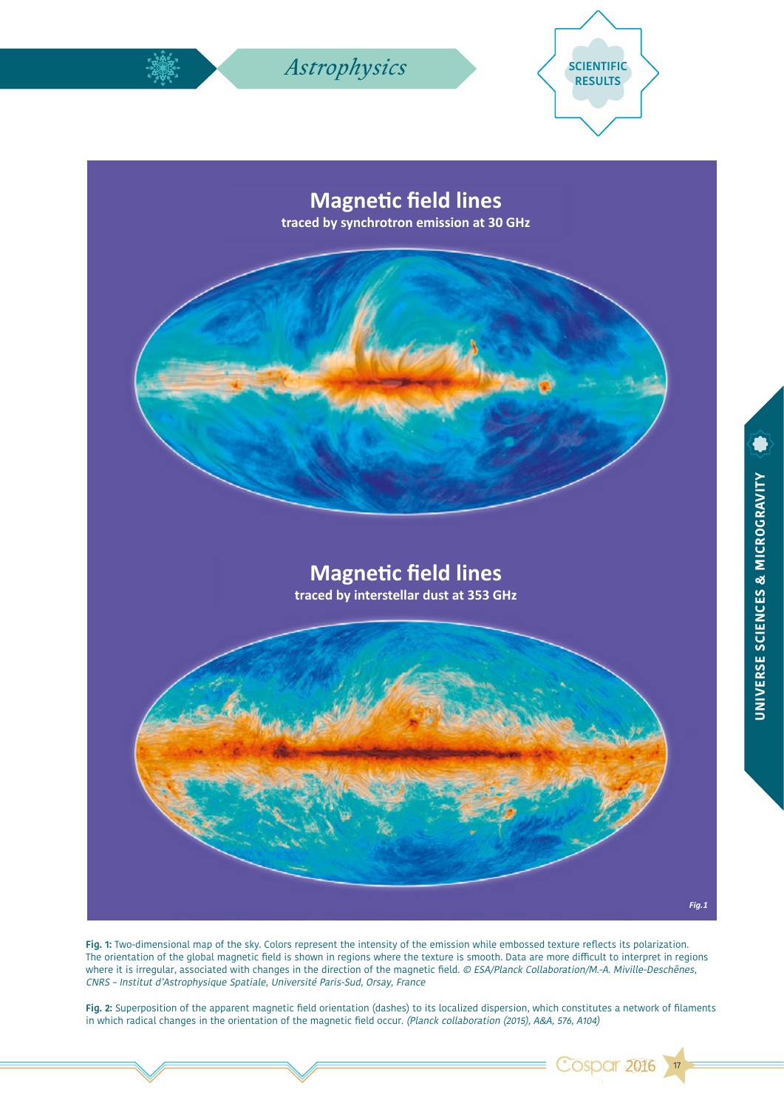

**Fig. 1:** Two-dimensional map of the sky. Colors represent the intensity of the emission while embossed texture reflects its polarization. The orientation of the global magnetic field is shown in regions where the texture is smooth. Data are more difficult to interpret in regions where it is irregular, associated with changes in the direction of the magnetic field. © ESA/Planck Collaboration/M.-A. Miville-Deschênes, CNRS – Institut d'Astrophysique Spatiale, Université Paris-Sud, Orsay, France

**Fig. 2:** Superposition of the apparent magnetic field orientation (dashes) to its localized dispersion, which constitutes a network of filaments in which radical changes in the orientation of the magnetic field occur. (Planck collaboration (2015), A&A, 576, A104)

17

Cospar 2016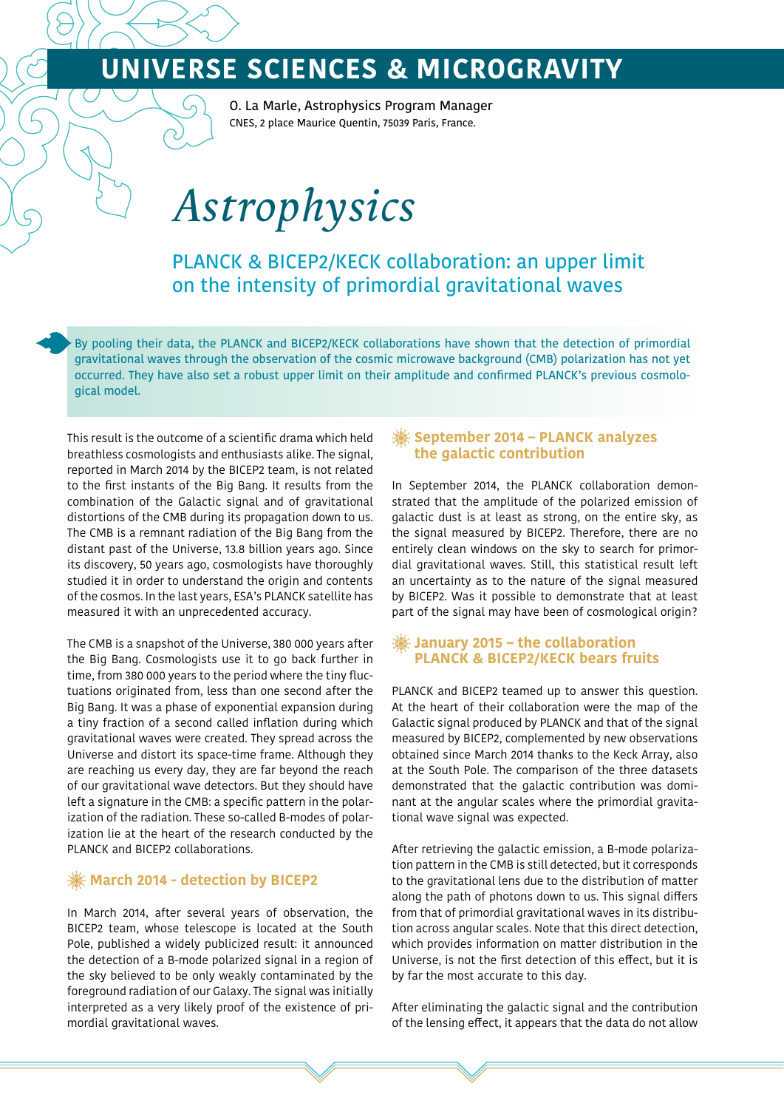O. La Marle, Astrophysics Program Manager CNES, 2 place Maurice Quentin, 75039 Paris, France.

# *Astrophysics*

PLANCK & BICEP2/KECK collaboration: an upper limit on the intensity of primordial gravitational waves

By pooling their data, the PLANCK and BICEP2/KECK collaborations have shown that the detection of primordial gravitational waves through the observation of the cosmic microwave background (CMB) polarization has not yet occurred. They have also set a robust upper limit on their amplitude and confirmed PLANCK's previous cosmological model.

This result is the outcome of a scientific drama which held breathless cosmologists and enthusiasts alike. The signal, reported in March 2014 by the BICEP2 team, is not related to the first instants of the Big Bang. It results from the combination of the Galactic signal and of gravitational distortions of the CMB during its propagation down to us. The CMB is a remnant radiation of the Big Bang from the distant past of the Universe, 13.8 billion years ago. Since its discovery, 50 years ago, cosmologists have thoroughly studied it in order to understand the origin and contents of the cosmos. In the last years, ESA's PLANCK satellite has measured it with an unprecedented accuracy.

The CMB is a snapshot of the Universe, 380 000 years after the Big Bang. Cosmologists use it to go back further in time, from 380 000 years to the period where the tiny fluctuations originated from, less than one second after the Big Bang. It was a phase of exponential expansion during a tiny fraction of a second called inflation during which gravitational waves were created. They spread across the Universe and distort its space-time frame. Although they are reaching us every day, they are far beyond the reach of our gravitational wave detectors. But they should have left a signature in the CMB: a specific pattern in the polarization of the radiation. These so-called B-modes of polarization lie at the heart of the research conducted by the PLANCK and BICEP2 collaborations.

### *※* **March 2014 - detection by BICEP2**

In March 2014, after several years of observation, the BICEP2 team, whose telescope is located at the South Pole, published a widely publicized result: it announced the detection of a B-mode polarized signal in a region of the sky believed to be only weakly contaminated by the foreground radiation of our Galaxy. The signal was initially interpreted as a very likely proof of the existence of primordial gravitational waves.

### **September 2014 – PLANCK analyzes the galactic contribution**

In September 2014, the PLANCK collaboration demonstrated that the amplitude of the polarized emission of galactic dust is at least as strong, on the entire sky, as the signal measured by BICEP2. Therefore, there are no entirely clean windows on the sky to search for primordial gravitational waves. Still, this statistical result left an uncertainty as to the nature of the signal measured by BICEP2. Was it possible to demonstrate that at least part of the signal may have been of cosmological origin?

### **January 2015 – the collaboration PLANCK & BICEP2/KECK bears fruits**

PLANCK and BICEP2 teamed up to answer this question. At the heart of their collaboration were the map of the Galactic signal produced by PLANCK and that of the signal measured by BICEP2, complemented by new observations obtained since March 2014 thanks to the Keck Array, also at the South Pole. The comparison of the three datasets demonstrated that the galactic contribution was dominant at the angular scales where the primordial gravitational wave signal was expected.

After retrieving the galactic emission, a B-mode polarization pattern in the CMB is still detected, but it corresponds to the gravitational lens due to the distribution of matter along the path of photons down to us. This signal differs from that of primordial gravitational waves in its distribution across angular scales. Note that this direct detection, which provides information on matter distribution in the Universe, is not the first detection of this effect, but it is by far the most accurate to this day.

After eliminating the galactic signal and the contribution of the lensing effect, it appears that the data do not allow